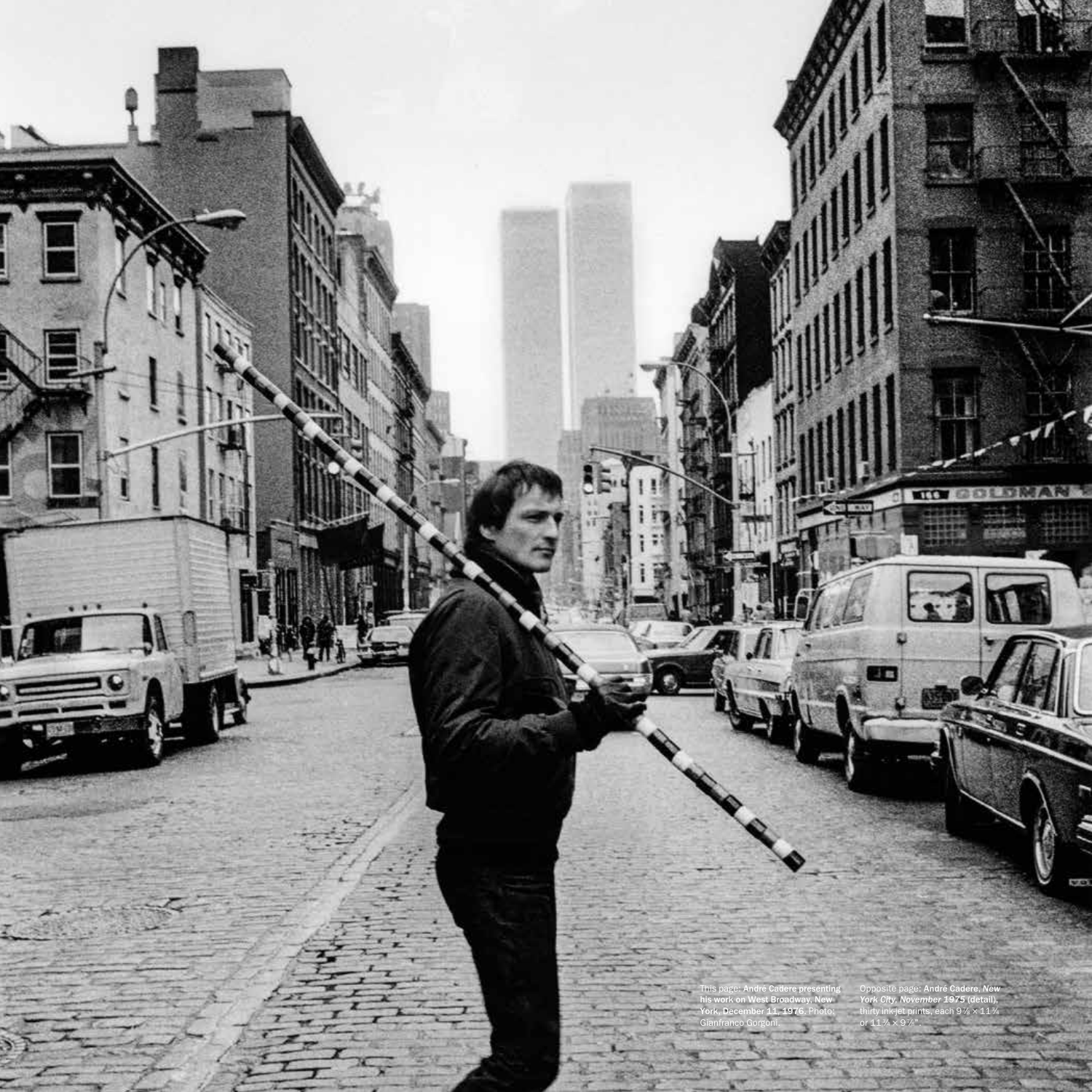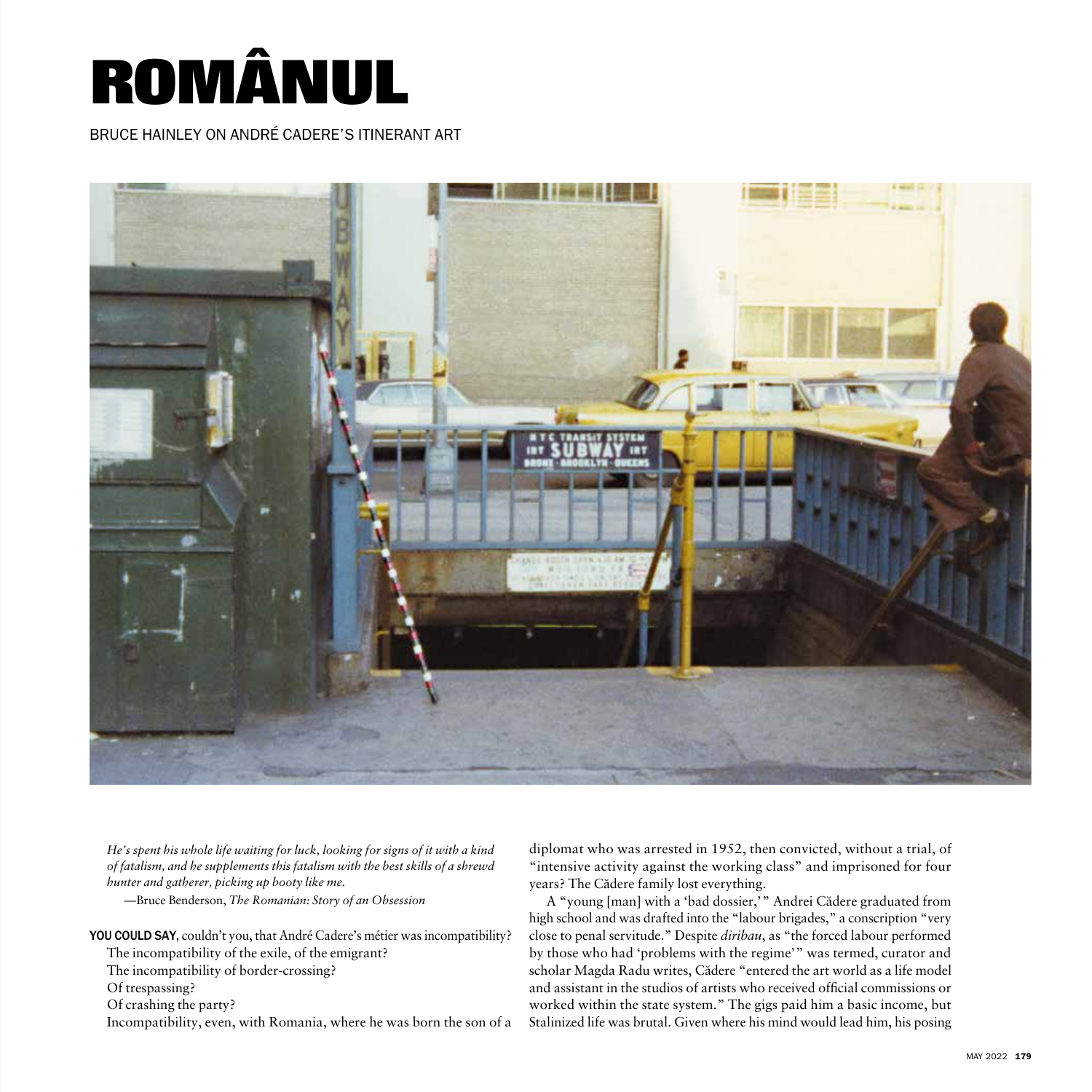

BRUCE HAINLEY ON ANDRÉ CADERE'S ITINERANT ART



*He's spent his whole life waiting for luck, looking for signs of it with a kind of fatalism, and he supplements this fatalism with the best skills of a shrewd hunter and gatherer, picking up booty like me.*

—Bruce Benderson, *The Romanian: Story of an Obsession* 

YOU COULD SAY, couldn't you, that André Cadere's métier was incompatibility? The incompatibility of the exile, of the emigrant? The incompatibility of border-crossing? Of trespassing? Of crashing the party? Incompatibility, even, with Romania, where he was born the son of a diplomat who was arrested in 1952, then convicted, without a trial, of "intensive activity against the working class" and imprisoned for four years? The Cădere family lost everything.

A "young [man] with a 'bad dossier,'" Andrei Cădere graduated from high school and was drafted into the "labour brigades," a conscription "very close to penal servitude." Despite *diribau*, as "the forced labour performed by those who had 'problems with the regime'" was termed, curator and scholar Magda Radu writes, Cădere "entered the art world as a life model and assistant in the studios of artists who received official commissions or worked within the state system." The gigs paid him a basic income, but Stalinized life was brutal. Given where his mind would lead him, his posing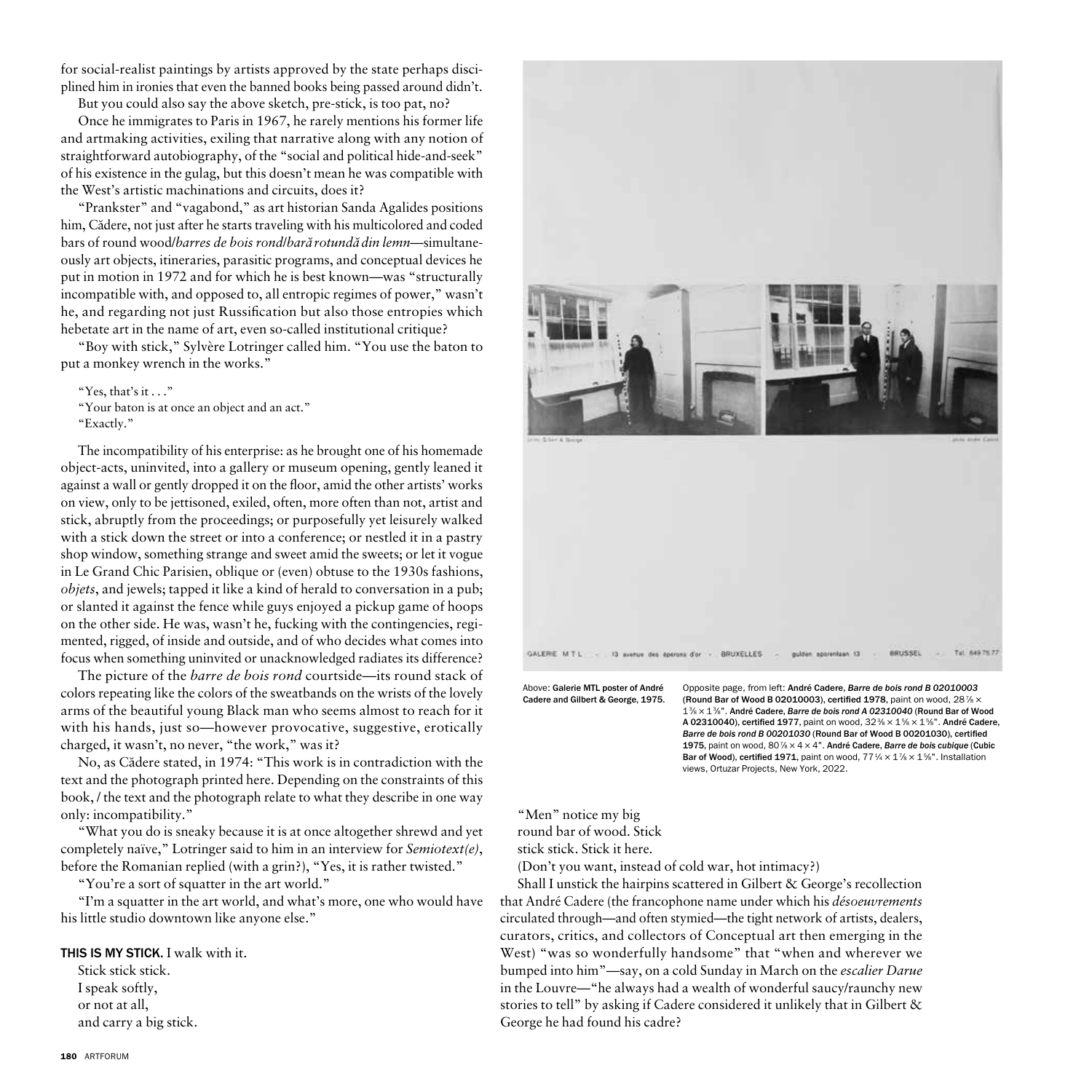for social-realist paintings by artists approved by the state perhaps disciplined him in ironies that even the banned books being passed around didn't.

But you could also say the above sketch, pre-stick, is too pat, no? Once he immigrates to Paris in 1967, he rarely mentions his former life and artmaking activities, exiling that narrative along with any notion of straightforward autobiography, of the "social and political hide-and-seek" of his existence in the gulag, but this doesn't mean he was compatible with the West's artistic machinations and circuits, does it?

"Prankster" and "vagabond," as art historian Sanda Agalides positions him, Cădere, not just after he starts traveling with his multicolored and coded bars of round wood/*barres de bois rond*/*bara˘ rotunda˘ din lemn*—simultaneously art objects, itineraries, parasitic programs, and conceptual devices he put in motion in 1972 and for which he is best known—was "structurally incompatible with, and opposed to, all entropic regimes of power," wasn't he, and regarding not just Russification but also those entropies which hebetate art in the name of art, even so-called institutional critique?

"Boy with stick," Sylvère Lotringer called him. "You use the baton to put a monkey wrench in the works."

"Yes, that's it . . ." "Your baton is at once an object and an act." "Exactly."

The incompatibility of his enterprise: as he brought one of his homemade object-acts, uninvited, into a gallery or museum opening, gently leaned it against a wall or gently dropped it on the floor, amid the other artists' works on view, only to be jettisoned, exiled, often, more often than not, artist and stick, abruptly from the proceedings; or purposefully yet leisurely walked with a stick down the street or into a conference; or nestled it in a pastry shop window, something strange and sweet amid the sweets; or let it vogue in Le Grand Chic Parisien, oblique or (even) obtuse to the 1930s fashions, *objets*, and jewels; tapped it like a kind of herald to conversation in a pub; or slanted it against the fence while guys enjoyed a pickup game of hoops on the other side. He was, wasn't he, fucking with the contingencies, regimented, rigged, of inside and outside, and of who decides what comes into focus when something uninvited or unacknowledged radiates its difference?

The picture of the *barre de bois rond* courtside—its round stack of colors repeating like the colors of the sweatbands on the wrists of the lovely arms of the beautiful young Black man who seems almost to reach for it with his hands, just so—however provocative, suggestive, erotically charged, it wasn't, no never, "the work," was it?

No, as Cădere stated, in 1974: "This work is in contradiction with the text and the photograph printed here. Depending on the constraints of this book, / the text and the photograph relate to what they describe in one way only: incompatibility."

"What you do is sneaky because it is at once altogether shrewd and yet completely naïve," Lotringer said to him in an interview for *Semiotext(e)*, before the Romanian replied (with a grin?), "Yes, it is rather twisted."

"You're a sort of squatter in the art world."

"I'm a squatter in the art world, and what's more, one who would have his little studio downtown like anyone else."

## THIS IS MY STICK. I walk with it.

Stick stick stick. I speak softly, or not at all, and carry a big stick.



Above: Galerie MTL poster of André Cadere and Gilbert & George, 1975. Opposite page, from left: André Cadere, *Barre de bois rond B 02010003* (Round Bar of Wood B 02010003), certified 1978, paint on wood,  $28\% \times$ 13⁄8 × 13⁄8". André Cadere, *Barre de bois rond A 02310040* (Round Bar of Wood A 02310040), certified 1977, paint on wood,  $32\% \times 1\% \times 1\%$ ". André Cadere, *Barre de bois rond B 00201030* (Round Bar of Wood B 00201030), certified 1975, paint on wood, 80<sup>7</sup>/<sub>8</sub> × 4 × 4". André Cadere, Barre de bois cubique (Cubic Bar of Wood), certified 1971, paint on wood,  $77\frac{1}{4} \times 1\frac{7}{8} \times 1\frac{5}{8}$ ". Installation views, Ortuzar Projects, New York, 2022.

"Men" notice my big round bar of wood. Stick stick stick. Stick it here*.*

(Don't you want, instead of cold war, hot intimacy?)

Shall I unstick the hairpins scattered in Gilbert & George's recollection that André Cadere (the francophone name under which his *désoeuvrements* circulated through—and often stymied—the tight network of artists, dealers, curators, critics, and collectors of Conceptual art then emerging in the West) "was so wonderfully handsome" that "when and wherever we bumped into him"—say, on a cold Sunday in March on the *escalier Darue* in the Louvre—"he always had a wealth of wonderful saucy/raunchy new stories to tell" by asking if Cadere considered it unlikely that in Gilbert & George he had found his cadre?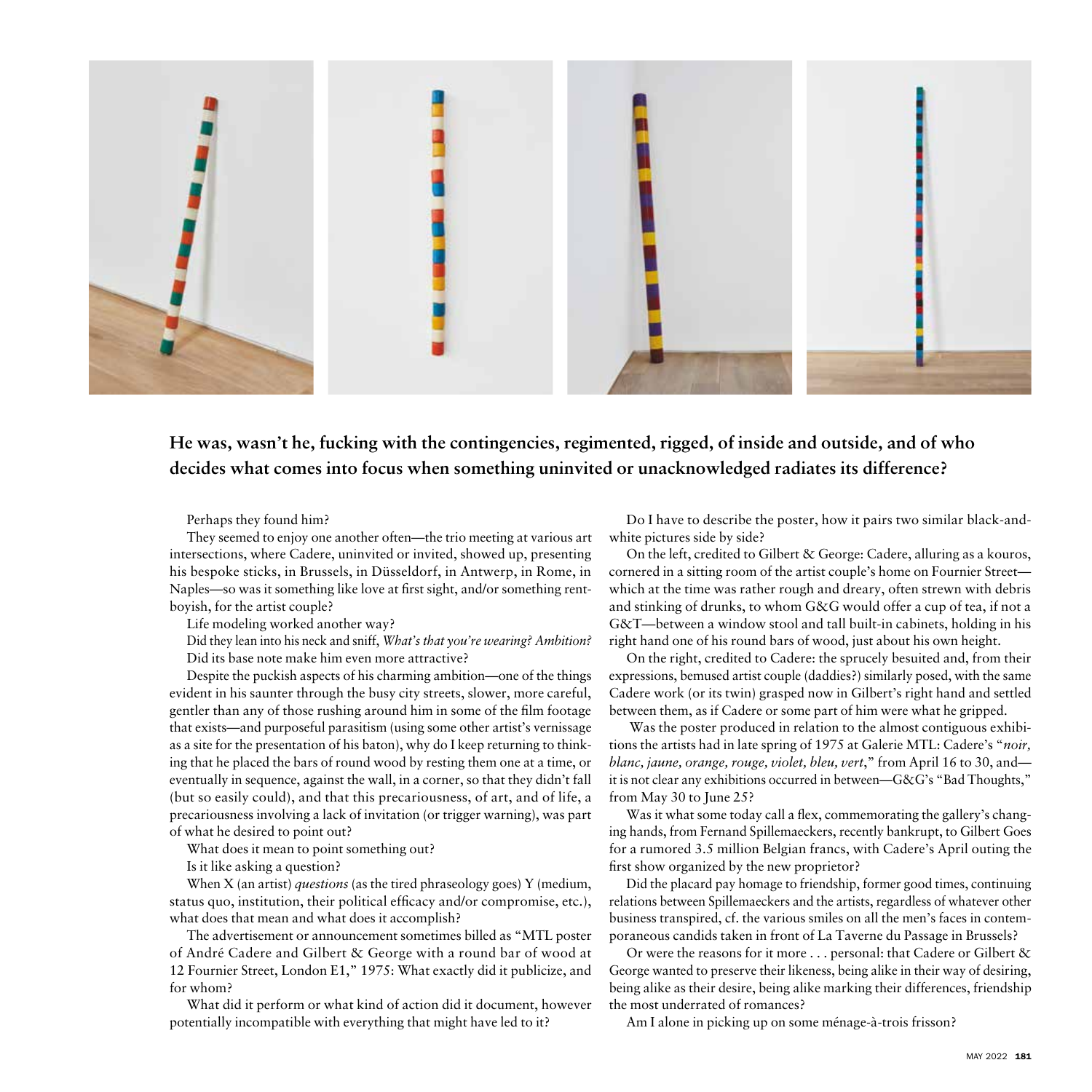

**He was, wasn't he, fucking with the contingencies, regimented, rigged, of inside and outside, and of who decides what comes into focus when something uninvited or unacknowledged radiates its difference?**

Perhaps they found him?

They seemed to enjoy one another often—the trio meeting at various art intersections, where Cadere, uninvited or invited, showed up, presenting his bespoke sticks, in Brussels, in Düsseldorf, in Antwerp, in Rome, in Naples—so was it something like love at first sight, and/or something rentboyish, for the artist couple?

Life modeling worked another way?

Did they lean into his neck and sniff, *What's that you're wearing? Ambition?* Did its base note make him even more attractive?

Despite the puckish aspects of his charming ambition—one of the things evident in his saunter through the busy city streets, slower, more careful, gentler than any of those rushing around him in some of the film footage that exists—and purposeful parasitism (using some other artist's vernissage as a site for the presentation of his baton), why do I keep returning to thinking that he placed the bars of round wood by resting them one at a time, or eventually in sequence, against the wall, in a corner, so that they didn't fall (but so easily could), and that this precariousness, of art, and of life, a precariousness involving a lack of invitation (or trigger warning), was part of what he desired to point out?

What does it mean to point something out?

Is it like asking a question?

When X (an artist) *questions* (as the tired phraseology goes) Y (medium, status quo, institution, their political efficacy and/or compromise, etc.), what does that mean and what does it accomplish?

The advertisement or announcement sometimes billed as "MTL poster of André Cadere and Gilbert & George with a round bar of wood at 12 Fournier Street, London E1," 1975: What exactly did it publicize, and for whom?

What did it perform or what kind of action did it document, however potentially incompatible with everything that might have led to it?

Do I have to describe the poster, how it pairs two similar black-andwhite pictures side by side?

On the left, credited to Gilbert & George: Cadere, alluring as a kouros, cornered in a sitting room of the artist couple's home on Fournier Street which at the time was rather rough and dreary, often strewn with debris and stinking of drunks, to whom G&G would offer a cup of tea, if not a G&T—between a window stool and tall built-in cabinets, holding in his right hand one of his round bars of wood, just about his own height.

On the right, credited to Cadere: the sprucely besuited and, from their expressions, bemused artist couple (daddies?) similarly posed, with the same Cadere work (or its twin) grasped now in Gilbert's right hand and settled between them, as if Cadere or some part of him were what he gripped.

 Was the poster produced in relation to the almost contiguous exhibitions the artists had in late spring of 1975 at Galerie MTL: Cadere's "*noir, blanc, jaune, orange, rouge, violet, bleu, vert*," from April 16 to 30, and it is not clear any exhibitions occurred in between—G&G's "Bad Thoughts," from May 30 to June 25?

Was it what some today call a flex, commemorating the gallery's changing hands, from Fernand Spillemaeckers, recently bankrupt, to Gilbert Goes for a rumored 3.5 million Belgian francs, with Cadere's April outing the first show organized by the new proprietor?

Did the placard pay homage to friendship, former good times, continuing relations between Spillemaeckers and the artists, regardless of whatever other business transpired, cf. the various smiles on all the men's faces in contemporaneous candids taken in front of La Taverne du Passage in Brussels?

Or were the reasons for it more . . . personal: that Cadere or Gilbert & George wanted to preserve their likeness, being alike in their way of desiring, being alike as their desire, being alike marking their differences, friendship the most underrated of romances?

Am I alone in picking up on some ménage-à-trois frisson?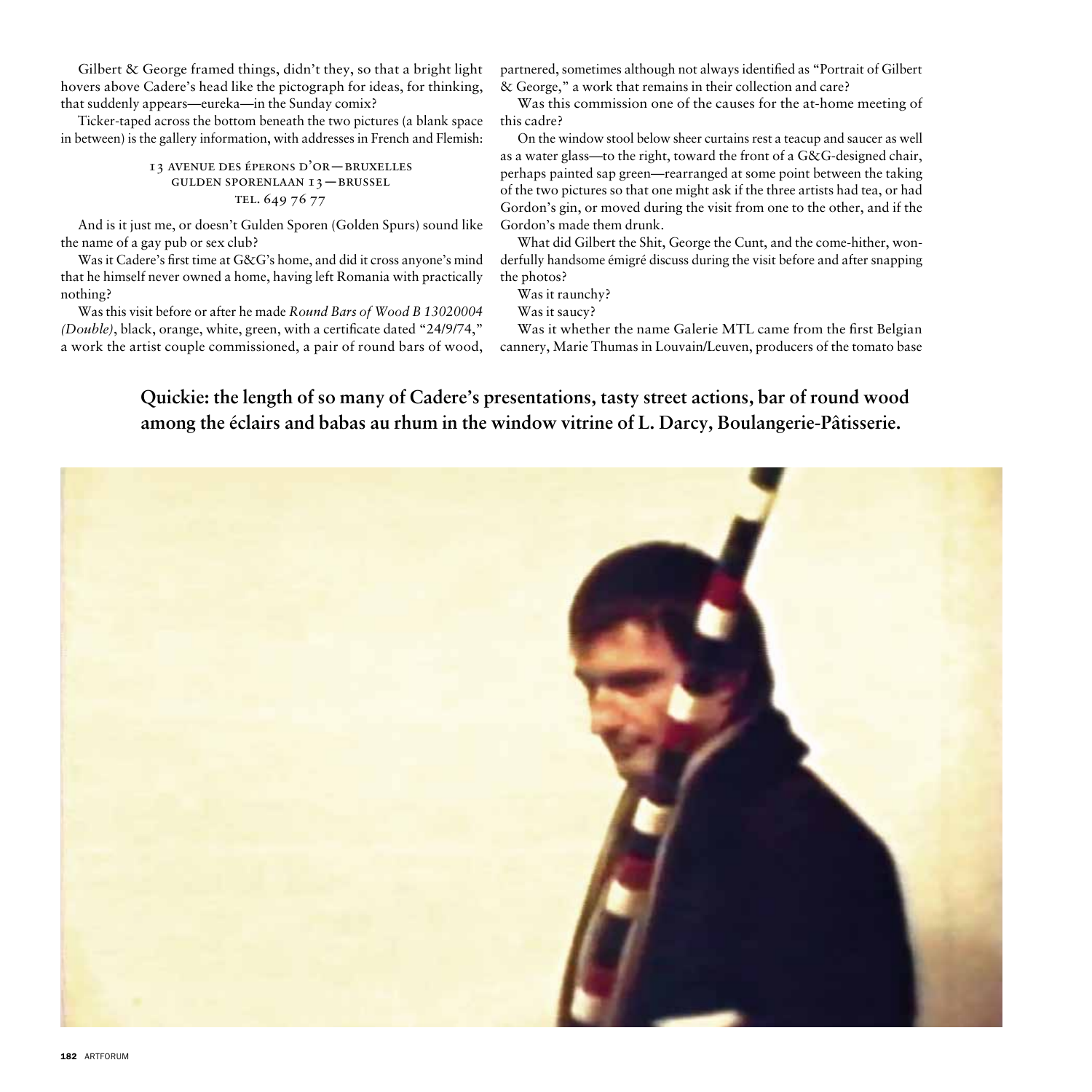Gilbert & George framed things, didn't they, so that a bright light hovers above Cadere's head like the pictograph for ideas, for thinking, that suddenly appears—eureka—in the Sunday comix?

Ticker-taped across the bottom beneath the two pictures (a blank space in between) is the gallery information, with addresses in French and Flemish:

## 13 avenue des éperons d'or—bruxelles gulden sporenlaan 13—brussel TEL. 649 76 77

And is it just me, or doesn't Gulden Sporen (Golden Spurs) sound like the name of a gay pub or sex club?

Was it Cadere's first time at G&G's home, and did it cross anyone's mind that he himself never owned a home, having left Romania with practically nothing?

Was this visit before or after he made *Round Bars of Wood B 13020004 (Double)*, black, orange, white, green, with a certificate dated "24/9/74," a work the artist couple commissioned, a pair of round bars of wood, partnered, sometimes although not always identified as "Portrait of Gilbert & George," a work that remains in their collection and care?

Was this commission one of the causes for the at-home meeting of this cadre?

On the window stool below sheer curtains rest a teacup and saucer as well as a water glass—to the right, toward the front of a G&G-designed chair, perhaps painted sap green—rearranged at some point between the taking of the two pictures so that one might ask if the three artists had tea, or had Gordon's gin, or moved during the visit from one to the other, and if the Gordon's made them drunk.

What did Gilbert the Shit, George the Cunt, and the come-hither, wonderfully handsome émigré discuss during the visit before and after snapping the photos?

Was it raunchy?

Was it saucy?

Was it whether the name Galerie MTL came from the first Belgian cannery, Marie Thumas in Louvain/Leuven, producers of the tomato base

**Quickie: the length of so many of Cadere's presentations, tasty street actions, bar of round wood among the éclairs and babas au rhum in the window vitrine of L. Darcy, Boulangerie-Pâtisserie.** 

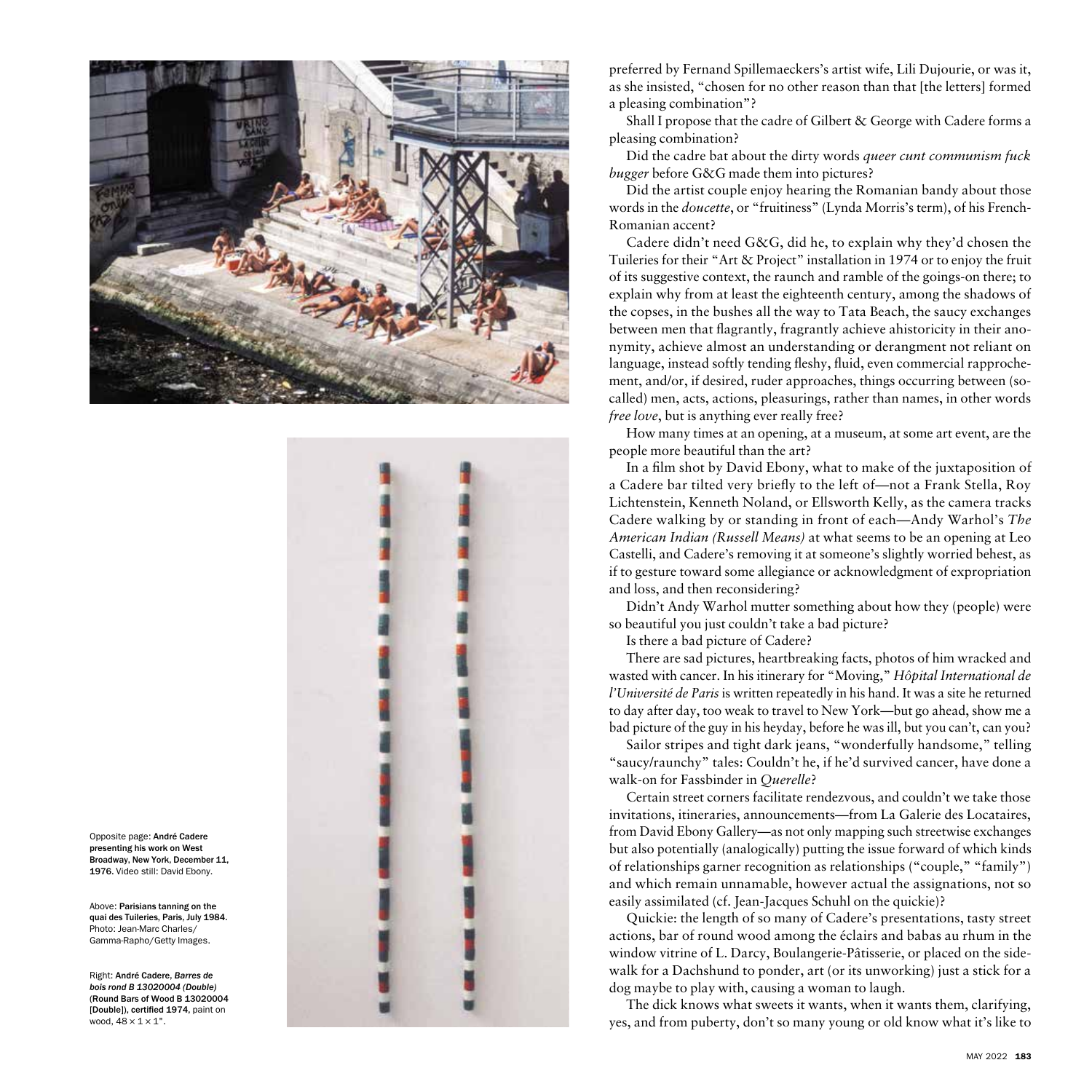



Opposite page: Andr é Cadere presenting his work on West Broadway, New York, December 11, 1976. Video still: David Ebony.

Above: Parisians tanning on the quai des Tuileries, Paris, July 1984. Photo: Jean-Marc Charles/ Gamma-Rapho/Getty Images.

Right: Andr é Cadere, *Barres de bois rond B 13020004 (Double)* (Round Bars of Wood B 13020004 [Double]), certified 1974, paint on wood,  $48 \times 1 \times 1$ ".

preferred by Fernand Spillemaeckers's artist wife, Lili Dujourie, or was it, as she insisted, "chosen for no other reason than that [the letters] formed a pleasing combination"?

Shall I propose that the cadre of Gilbert & George with Cadere forms a pleasing combination?

Did the cadre bat about the dirty words *queer cunt communism fuck bugger* before G&G made them into pictures?

Did the artist couple enjoy hearing the Romanian bandy about those words in the *doucette*, or "fruitiness" (Lynda Morris's term), of his French-Romanian accent?

Cadere didn't need G&G, did he, to explain why they'd chosen the Tuileries for their "Art & Project" installation in 1974 or to enjoy the fruit of its suggestive context, the raunch and ramble of the goings-on there; to explain why from at least the eighteenth century, among the shadows of the copses, in the bushes all the way to Tata Beach, the saucy exchanges between men that flagrantly, fragrantly achieve ahistoricity in their ano nymity, achieve almost an understanding or derangment not reliant on language, instead softly tending fleshy, fluid, even commercial rapproche ment, and/or, if desired, ruder approaches, things occurring between (socalled) men, acts, actions, pleasurings, rather than names, in other words *free love*, but is anything ever really free?

How many times at an opening, at a museum, at some art event, are the people more beautiful than the art?

In a film shot by David Ebony, what to make of the juxtaposition of a Cadere bar tilted very briefly to the left of—not a Frank Stella, Roy Lichtenstein, Kenneth Noland, or Ellsworth Kelly, as the camera tracks Cadere walking by or standing in front of each—Andy Warhol's *The American Indian (Russell Means)* at what seems to be an opening at Leo Castelli, and Cadere's removing it at someone's slightly worried behest, as if to gesture toward some allegiance or acknowledgment of expropriation and loss, and then reconsidering?

Didn't Andy Warhol mutter something about how they (people) were so beautiful you just couldn't take a bad picture?

Is there a bad picture of Cadere?

There are sad pictures, heartbreaking facts, photos of him wracked and wasted with cancer. In his itinerary for "Moving," *Hôpital International de l'Université de Paris* is written repeatedly in his hand. It was a site he returned to day after day, too weak to travel to New York—but go ahead, show me a bad picture of the guy in his heyday, before he was ill, but you can't, can you?

Sailor stripes and tight dark jeans, "wonderfully handsome," telling "saucy/raunchy" tales: Couldn't he, if he'd survived cancer, have done a walk-on for Fassbinder in *Querelle*?

Certain street corners facilitate rendezvous, and couldn't we take those invitations, itineraries, announcements—from La Galerie des Locataires, from David Ebony Gallery—as not only mapping such streetwise exchanges but also potentially (analogically) putting the issue forward of which kinds of relationships garner recognition as relationships ("couple," "family") and which remain unnamable, however actual the assignations, not so easily assimilated (cf. Jean-Jacques Schuhl on the quickie)?

Quickie: the length of so many of Cadere's presentations, tasty street actions, bar of round wood among the éclairs and babas au rhum in the window vitrine of L. Darcy, Boulangerie-Pâtisserie, or placed on the sidewalk for a Dachshund to ponder, art (or its unworking) just a stick for a dog maybe to play with, causing a woman to laugh.

The dick knows what sweets it wants, when it wants them, clarifying, yes, and from puberty, don't so many young or old know what it's like to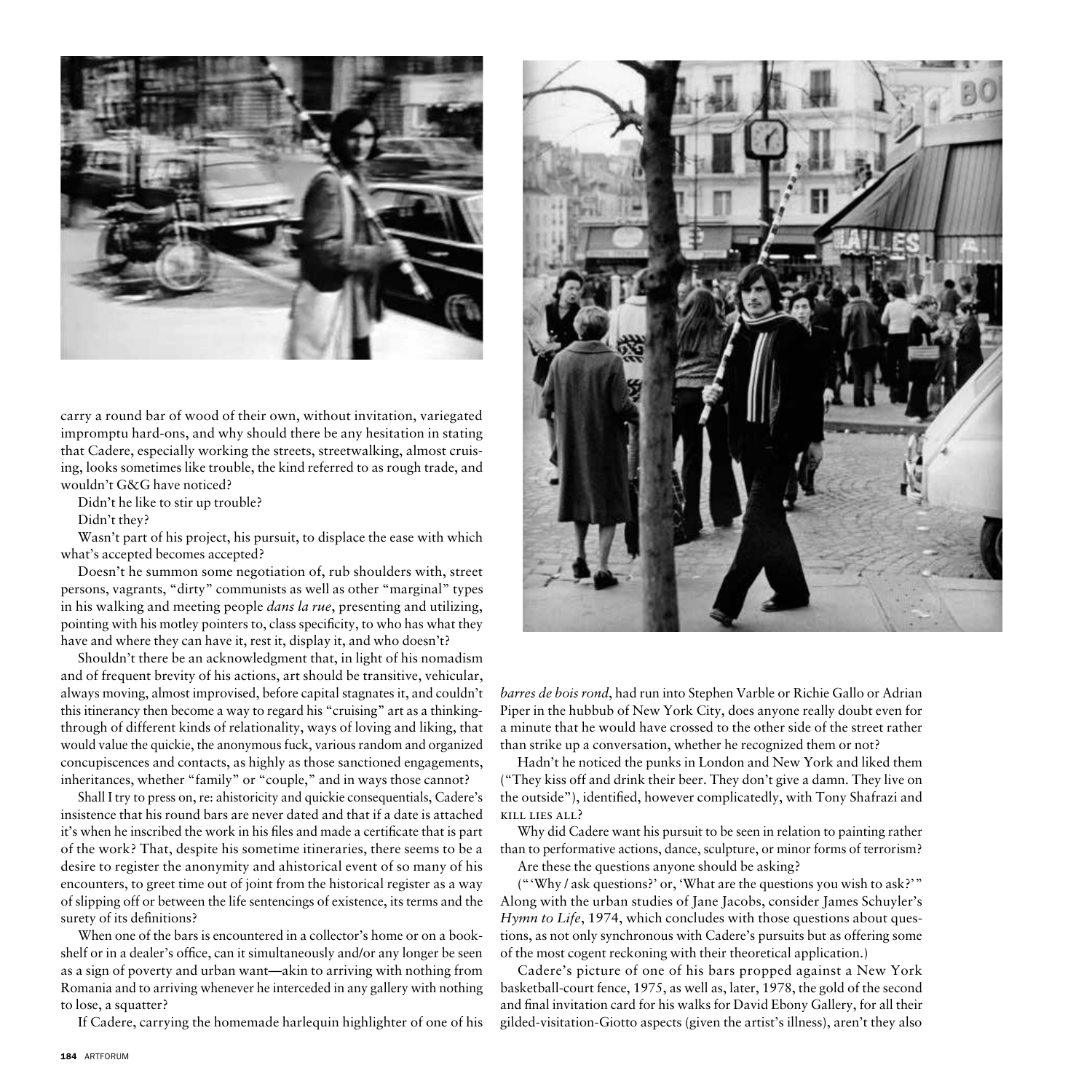

carry a round bar of wood of their own, without invitation, variegated impromptu hard-ons, and why should there be any hesitation in stating that Cadere, especially working the streets, streetwalking, almost cruising, looks sometimes like trouble, the kind referred to as rough trade, and wouldn't G&G have noticed?

Didn't he like to stir up trouble?

Didn't they?

Wasn't part of his project, his pursuit, to displace the ease with which what's accepted becomes accepted?

Doesn't he summon some negotiation of, rub shoulders with, street persons, vagrants, "dirty" communists as well as other "marginal" types in his walking and meeting people *dans la rue*, presenting and utilizing, pointing with his motley pointers to, class specificity, to who has what they have and where they can have it, rest it, display it, and who doesn't?

Shouldn't there be an acknowledgment that, in light of his nomadism and of frequent brevity of his actions, art should be transitive, vehicular, always moving, almost improvised, before capital stagnates it, and couldn't this itinerancy then become a way to regard his "cruising" art as a thinkingthrough of different kinds of relationality, ways of loving and liking, that would value the quickie, the anonymous fuck, various random and organized concupiscences and contacts, as highly as those sanctioned engagements, inheritances, whether "family" or "couple," and in ways those cannot?

Shall I try to press on, re: ahistoricity and quickie consequentials, Cadere's insistence that his round bars are never dated and that if a date is attached it's when he inscribed the work in his files and made a certificate that is part of the work? That, despite his sometime itineraries, there seems to be a desire to register the anonymity and ahistorical event of so many of his encounters, to greet time out of joint from the historical register as a way of slipping off or between the life sentencings of existence, its terms and the surety of its definitions?

When one of the bars is encountered in a collector's home or on a bookshelf or in a dealer's office, can it simultaneously and/or any longer be seen as a sign of poverty and urban want—akin to arriving with nothing from Romania and to arriving whenever he interceded in any gallery with nothing to lose, a squatter?

If Cadere, carrying the homemade harlequin highlighter of one of his



*barres de bois rond*, had run into Stephen Varble or Richie Gallo or Adrian Piper in the hubbub of New York City, does anyone really doubt even for a minute that he would have crossed to the other side of the street rather than strike up a conversation, whether he recognized them or not?

Hadn't he noticed the punks in London and New York and liked them ("They kiss off and drink their beer. They don't give a damn. They live on the outside"), identified, however complicatedly, with Tony Shafrazi and kill lies all?

Why did Cadere want his pursuit to be seen in relation to painting rather than to performative actions, dance, sculpture, or minor forms of terrorism?

Are these the questions anyone should be asking?

("'Why / ask questions?' or, 'What are the questions you wish to ask?'" Along with the urban studies of Jane Jacobs, consider James Schuyler's *Hymn to Life*, 1974, which concludes with those questions about questions, as not only synchronous with Cadere's pursuits but as offering some of the most cogent reckoning with their theoretical application.)

Cadere's picture of one of his bars propped against a New York basketball-court fence, 1975, as well as, later, 1978, the gold of the second and final invitation card for his walks for David Ebony Gallery, for all their gilded-visitation-Giotto aspects (given the artist's illness), aren't they also